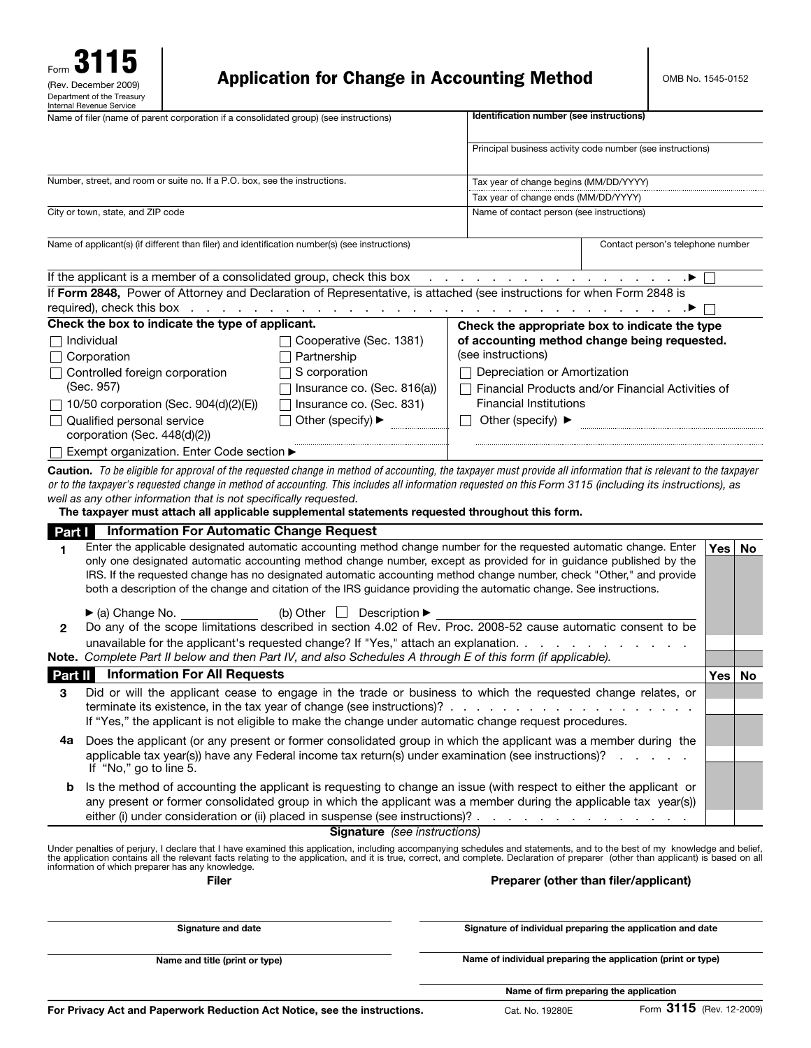# Application for Change in Accounting Method OMB No. 1545-0152

|         | Internal Revenue Service<br>Name of filer (name of parent corporation if a consolidated group) (see instructions)                                                                                                                 |                                                    | Identification number (see instructions)                              |                                                              |            |    |
|---------|-----------------------------------------------------------------------------------------------------------------------------------------------------------------------------------------------------------------------------------|----------------------------------------------------|-----------------------------------------------------------------------|--------------------------------------------------------------|------------|----|
|         |                                                                                                                                                                                                                                   |                                                    |                                                                       |                                                              |            |    |
|         |                                                                                                                                                                                                                                   |                                                    |                                                                       | Principal business activity code number (see instructions)   |            |    |
|         | Number, street, and room or suite no. If a P.O. box, see the instructions.                                                                                                                                                        |                                                    | Tax year of change begins (MM/DD/YYYY)                                |                                                              |            |    |
|         |                                                                                                                                                                                                                                   |                                                    | Tax year of change ends (MM/DD/YYYY)                                  |                                                              |            |    |
|         | City or town, state, and ZIP code                                                                                                                                                                                                 |                                                    | Name of contact person (see instructions)                             |                                                              |            |    |
|         | Name of applicant(s) (if different than filer) and identification number(s) (see instructions)                                                                                                                                    |                                                    |                                                                       |                                                              |            |    |
|         |                                                                                                                                                                                                                                   |                                                    |                                                                       | Contact person's telephone number                            |            |    |
|         | If the applicant is a member of a consolidated group, check this box                                                                                                                                                              |                                                    | . The contract of the contract of the contract of $\mathbb{P}$ $\Box$ |                                                              |            |    |
|         | If Form 2848, Power of Attorney and Declaration of Representative, is attached (see instructions for when Form 2848 is                                                                                                            |                                                    |                                                                       |                                                              |            |    |
|         | required), check this box enterprise to enterprise the contract of the contract of the contract of the contract of the contract of the contract of the contract of the contract of the contract of the contract of the contrac    |                                                    |                                                                       |                                                              |            |    |
|         | Check the box to indicate the type of applicant.                                                                                                                                                                                  |                                                    | Check the appropriate box to indicate the type                        |                                                              |            |    |
|         | Individual                                                                                                                                                                                                                        | Cooperative (Sec. 1381)                            | of accounting method change being requested.                          |                                                              |            |    |
|         | $\Box$ Corporation                                                                                                                                                                                                                | Partnership                                        | (see instructions)                                                    |                                                              |            |    |
|         | $\Box$ Controlled foreign corporation                                                                                                                                                                                             | S corporation                                      | Depreciation or Amortization                                          |                                                              |            |    |
|         | (Sec. 957)                                                                                                                                                                                                                        | Insurance co. (Sec. 816(a))                        |                                                                       | Financial Products and/or Financial Activities of            |            |    |
|         | $\Box$ 10/50 corporation (Sec. 904(d)(2)(E))                                                                                                                                                                                      | Insurance co. (Sec. 831)                           | <b>Financial Institutions</b>                                         |                                                              |            |    |
|         | Qualified personal service<br>corporation (Sec. 448(d)(2))                                                                                                                                                                        | Other (specify) ▶                                  | Other (specify) $\blacktriangleright$                                 |                                                              |            |    |
|         | Exempt organization. Enter Code section ▶                                                                                                                                                                                         |                                                    |                                                                       |                                                              |            |    |
|         | Caution. To be eligible for approval of the requested change in method of accounting, the taxpayer must provide all information that is relevant to the taxpayer                                                                  |                                                    |                                                                       |                                                              |            |    |
|         | or to the taxpayer's requested change in method of accounting. This includes all information requested on this Form 3115 (including its instructions), as                                                                         |                                                    |                                                                       |                                                              |            |    |
|         | well as any other information that is not specifically requested.                                                                                                                                                                 |                                                    |                                                                       |                                                              |            |    |
|         | The taxpayer must attach all applicable supplemental statements requested throughout this form.                                                                                                                                   |                                                    |                                                                       |                                                              |            |    |
| Part I  | <b>Information For Automatic Change Request</b>                                                                                                                                                                                   |                                                    |                                                                       |                                                              |            |    |
| 1       | Enter the applicable designated automatic accounting method change number for the requested automatic change. Enter                                                                                                               |                                                    |                                                                       |                                                              | Yes        | No |
|         | only one designated automatic accounting method change number, except as provided for in guidance published by the                                                                                                                |                                                    |                                                                       |                                                              |            |    |
|         | IRS. If the requested change has no designated automatic accounting method change number, check "Other," and provide                                                                                                              |                                                    |                                                                       |                                                              |            |    |
|         | both a description of the change and citation of the IRS guidance providing the automatic change. See instructions.                                                                                                               |                                                    |                                                                       |                                                              |            |    |
|         | $\blacktriangleright$ (a) Change No.                                                                                                                                                                                              | (b) Other $\Box$ Description $\blacktriangleright$ |                                                                       |                                                              |            |    |
| 2       | Do any of the scope limitations described in section 4.02 of Rev. Proc. 2008-52 cause automatic consent to be                                                                                                                     |                                                    |                                                                       |                                                              |            |    |
|         | unavailable for the applicant's requested change? If "Yes," attach an explanation. .                                                                                                                                              |                                                    |                                                                       |                                                              |            |    |
|         | Note. Complete Part II below and then Part IV, and also Schedules A through E of this form (if applicable).                                                                                                                       |                                                    |                                                                       |                                                              |            |    |
| Part II | <b>Information For All Requests</b>                                                                                                                                                                                               |                                                    |                                                                       |                                                              | <b>Yes</b> | No |
| 3       | Did or will the applicant cease to engage in the trade or business to which the requested change relates, or                                                                                                                      |                                                    |                                                                       |                                                              |            |    |
|         |                                                                                                                                                                                                                                   |                                                    |                                                                       |                                                              |            |    |
|         | If "Yes," the applicant is not eligible to make the change under automatic change request procedures.                                                                                                                             |                                                    |                                                                       |                                                              |            |    |
| 4a      | Does the applicant (or any present or former consolidated group in which the applicant was a member during the                                                                                                                    |                                                    |                                                                       |                                                              |            |    |
|         | applicable tax year(s)) have any Federal income tax return(s) under examination (see instructions)?                                                                                                                               |                                                    |                                                                       |                                                              |            |    |
|         | If "No," go to line 5.                                                                                                                                                                                                            |                                                    |                                                                       |                                                              |            |    |
| b       | Is the method of accounting the applicant is requesting to change an issue (with respect to either the applicant or                                                                                                               |                                                    |                                                                       |                                                              |            |    |
|         | any present or former consolidated group in which the applicant was a member during the applicable tax year(s))                                                                                                                   |                                                    |                                                                       |                                                              |            |    |
|         | either (i) under consideration or (ii) placed in suspense (see instructions)?                                                                                                                                                     |                                                    |                                                                       |                                                              |            |    |
|         |                                                                                                                                                                                                                                   | <b>Signature</b> (see instructions)                |                                                                       |                                                              |            |    |
|         | Under penalties of perjury, I declare that I have examined this application, including accompanying schedules and statements, and to the best of my knowledge and belief,<br>the application contains all the relevant facts rela |                                                    |                                                                       |                                                              |            |    |
|         | information of which preparer has any knowledge.                                                                                                                                                                                  |                                                    |                                                                       |                                                              |            |    |
|         | Filer                                                                                                                                                                                                                             |                                                    |                                                                       | Preparer (other than filer/applicant)                        |            |    |
|         | <b>Signature and date</b>                                                                                                                                                                                                         |                                                    |                                                                       | Signature of individual preparing the application and date   |            |    |
|         |                                                                                                                                                                                                                                   |                                                    |                                                                       |                                                              |            |    |
|         | Name and title (print or type)                                                                                                                                                                                                    |                                                    |                                                                       | Name of individual preparing the application (print or type) |            |    |
|         |                                                                                                                                                                                                                                   |                                                    |                                                                       | Name of firm preparing the application                       |            |    |
|         |                                                                                                                                                                                                                                   |                                                    |                                                                       | $2115 - 5$                                                   |            |    |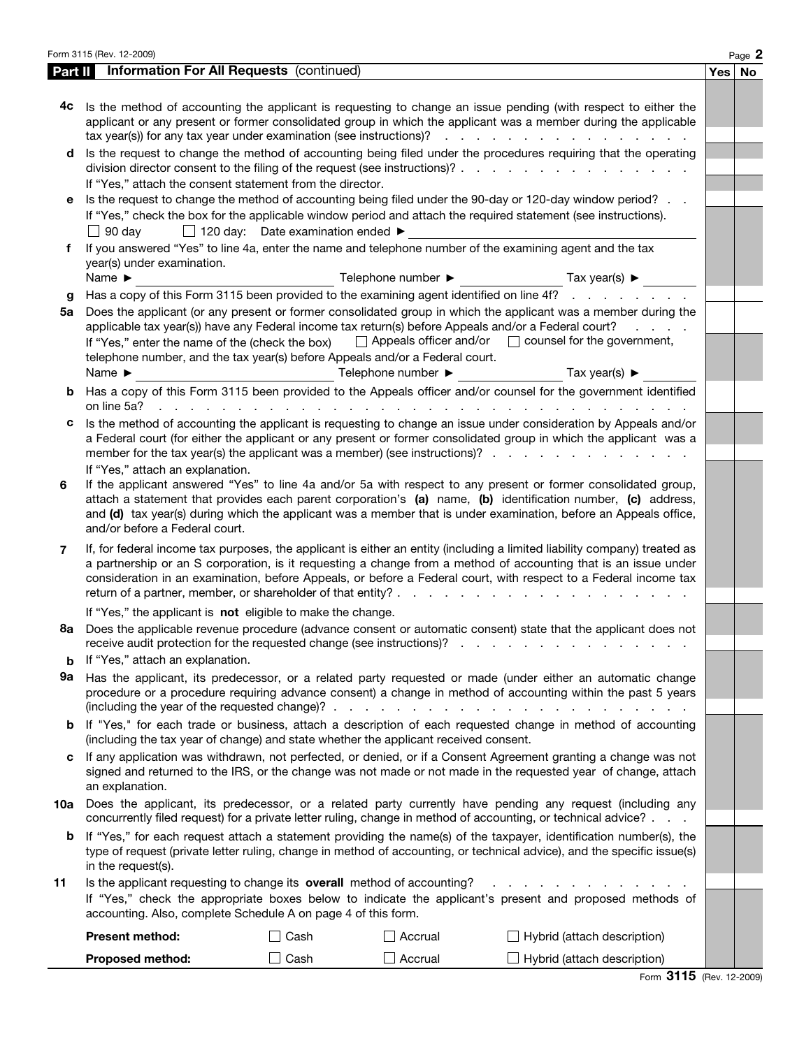| Form 3115 (Rev. 12-2009)<br>Page 2 |                                                                                                                                                                                                                                                                       |                                                              |                              |                                                                                                                                                                                                                                                                                                                                                                  |        |  |
|------------------------------------|-----------------------------------------------------------------------------------------------------------------------------------------------------------------------------------------------------------------------------------------------------------------------|--------------------------------------------------------------|------------------------------|------------------------------------------------------------------------------------------------------------------------------------------------------------------------------------------------------------------------------------------------------------------------------------------------------------------------------------------------------------------|--------|--|
|                                    | Part II Information For All Requests (continued)                                                                                                                                                                                                                      |                                                              |                              |                                                                                                                                                                                                                                                                                                                                                                  | Yes No |  |
| 4с                                 | tax year(s)) for any tax year under examination (see instructions)?                                                                                                                                                                                                   |                                                              |                              | Is the method of accounting the applicant is requesting to change an issue pending (with respect to either the<br>applicant or any present or former consolidated group in which the applicant was a member during the applicable<br>the contract of the contract of the contract of the contract of the contract of the contract of the contract of             |        |  |
| d                                  |                                                                                                                                                                                                                                                                       |                                                              |                              | Is the request to change the method of accounting being filed under the procedures requiring that the operating<br>division director consent to the filing of the request (see instructions)?                                                                                                                                                                    |        |  |
| е                                  | If "Yes," attach the consent statement from the director.<br>$\Box$ 90 day                                                                                                                                                                                            | $\Box$ 120 day: Date examination ended $\blacktriangleright$ |                              | Is the request to change the method of accounting being filed under the 90-day or 120-day window period?<br>If "Yes," check the box for the applicable window period and attach the required statement (see instructions).                                                                                                                                       |        |  |
| f                                  | year(s) under examination.<br>Name $\blacktriangleright$                                                                                                                                                                                                              |                                                              | Telephone number ▶           | If you answered "Yes" to line 4a, enter the name and telephone number of the examining agent and the tax<br>Tax year(s) $\blacktriangleright$                                                                                                                                                                                                                    |        |  |
| g                                  |                                                                                                                                                                                                                                                                       |                                                              |                              | Has a copy of this Form 3115 been provided to the examining agent identified on line 4f?                                                                                                                                                                                                                                                                         |        |  |
| 5a                                 | applicable tax year(s)) have any Federal income tax return(s) before Appeals and/or a Federal court?<br>If "Yes," enter the name of the (check the box)<br>telephone number, and the tax year(s) before Appeals and/or a Federal court.<br>Name $\blacktriangleright$ |                                                              | Telephone number ▶           | Does the applicant (or any present or former consolidated group in which the applicant was a member during the<br>$\Box$ Appeals officer and/or $\Box$ counsel for the government,<br>Tax year(s) $\blacktriangleright$                                                                                                                                          |        |  |
|                                    | on line 5a?                                                                                                                                                                                                                                                           |                                                              |                              | Has a copy of this Form 3115 been provided to the Appeals officer and/or counsel for the government identified                                                                                                                                                                                                                                                   |        |  |
| c                                  | If "Yes," attach an explanation.                                                                                                                                                                                                                                      |                                                              |                              | Is the method of accounting the applicant is requesting to change an issue under consideration by Appeals and/or<br>a Federal court (for either the applicant or any present or former consolidated group in which the applicant was a                                                                                                                           |        |  |
| 6                                  | and/or before a Federal court.                                                                                                                                                                                                                                        |                                                              |                              | If the applicant answered "Yes" to line 4a and/or 5a with respect to any present or former consolidated group,<br>attach a statement that provides each parent corporation's (a) name, (b) identification number, (c) address,<br>and (d) tax year(s) during which the applicant was a member that is under examination, before an Appeals office,               |        |  |
| 7                                  |                                                                                                                                                                                                                                                                       |                                                              |                              | If, for federal income tax purposes, the applicant is either an entity (including a limited liability company) treated as<br>a partnership or an S corporation, is it requesting a change from a method of accounting that is an issue under<br>consideration in an examination, before Appeals, or before a Federal court, with respect to a Federal income tax |        |  |
| ၓa                                 | If "Yes," the applicant is not eligible to make the change.<br>receive audit protection for the requested change (see instructions)?                                                                                                                                  |                                                              |                              | Does the applicable revenue procedure (advance consent or automatic consent) state that the applicant does not                                                                                                                                                                                                                                                   |        |  |
| b                                  | If "Yes," attach an explanation.                                                                                                                                                                                                                                      |                                                              |                              |                                                                                                                                                                                                                                                                                                                                                                  |        |  |
| 9а                                 | (including the year of the requested change)?.                                                                                                                                                                                                                        |                                                              |                              | Has the applicant, its predecessor, or a related party requested or made (under either an automatic change<br>procedure or a procedure requiring advance consent) a change in method of accounting within the past 5 years                                                                                                                                       |        |  |
|                                    | (including the tax year of change) and state whether the applicant received consent.                                                                                                                                                                                  |                                                              |                              | If "Yes," for each trade or business, attach a description of each requested change in method of accounting                                                                                                                                                                                                                                                      |        |  |
| c                                  | an explanation.                                                                                                                                                                                                                                                       |                                                              |                              | If any application was withdrawn, not perfected, or denied, or if a Consent Agreement granting a change was not<br>signed and returned to the IRS, or the change was not made or not made in the requested year of change, attach                                                                                                                                |        |  |
| 10a                                |                                                                                                                                                                                                                                                                       |                                                              |                              | Does the applicant, its predecessor, or a related party currently have pending any request (including any<br>concurrently filed request) for a private letter ruling, change in method of accounting, or technical advice?.<br><b>Contract</b>                                                                                                                   |        |  |
| b                                  | in the request(s).                                                                                                                                                                                                                                                    |                                                              |                              | If "Yes," for each request attach a statement providing the name(s) of the taxpayer, identification number(s), the<br>type of request (private letter ruling, change in method of accounting, or technical advice), and the specific issue(s)                                                                                                                    |        |  |
| 11                                 | Is the applicant requesting to change its overall method of accounting?<br>accounting. Also, complete Schedule A on page 4 of this form.                                                                                                                              |                                                              |                              | If "Yes," check the appropriate boxes below to indicate the applicant's present and proposed methods of                                                                                                                                                                                                                                                          |        |  |
|                                    | <b>Present method:</b>                                                                                                                                                                                                                                                | Cash                                                         | Accrual<br>$\vert \ \ \vert$ | $\Box$ Hybrid (attach description)                                                                                                                                                                                                                                                                                                                               |        |  |
|                                    | <b>Proposed method:</b>                                                                                                                                                                                                                                               | Cash                                                         | Accrual<br>$\mathsf{L}$      | $\Box$ Hybrid (attach description)                                                                                                                                                                                                                                                                                                                               |        |  |
|                                    |                                                                                                                                                                                                                                                                       |                                                              |                              |                                                                                                                                                                                                                                                                                                                                                                  |        |  |

|  |  | Form 3115 (Rev. 12-2009) |
|--|--|--------------------------|
|--|--|--------------------------|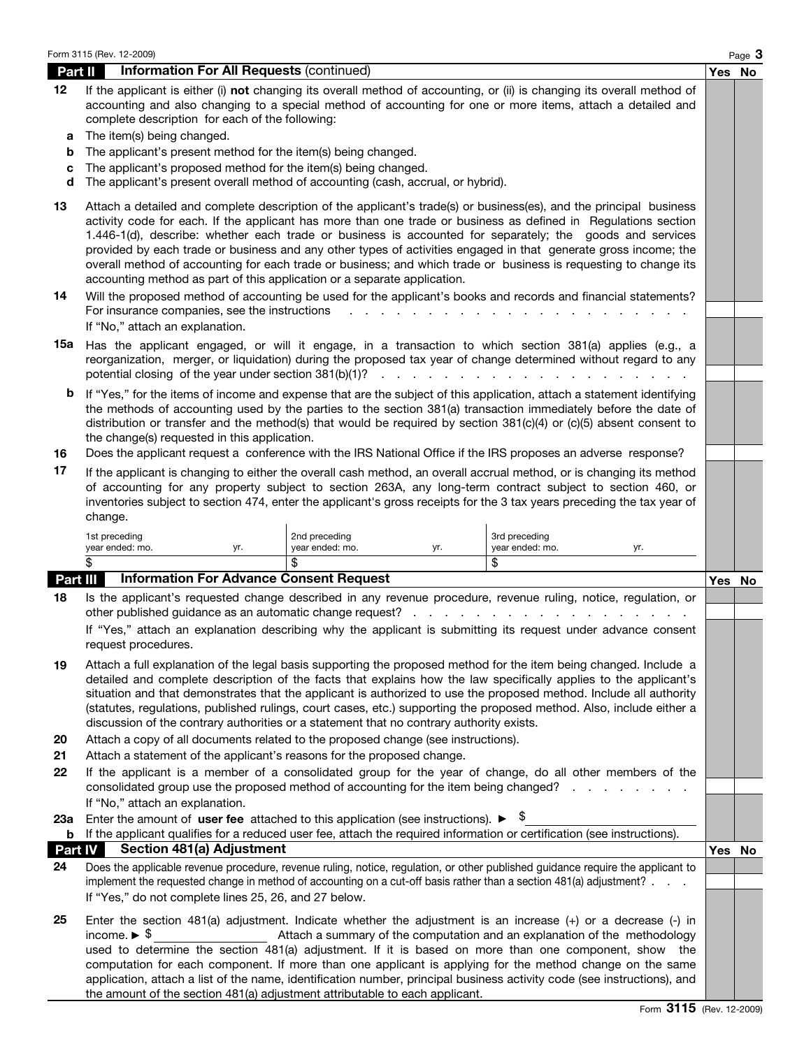|               |                                                                                                                                                                                                                                                                                                                                                                                                                                                                                                                                               | Form 3115 (Rev. 12-2009)                               |     |                                                                                                                                                    |     |                                                                                                                                                                                                                                                                                                                                                                                                                                                                                                                                                | Page 3 |
|---------------|-----------------------------------------------------------------------------------------------------------------------------------------------------------------------------------------------------------------------------------------------------------------------------------------------------------------------------------------------------------------------------------------------------------------------------------------------------------------------------------------------------------------------------------------------|--------------------------------------------------------|-----|----------------------------------------------------------------------------------------------------------------------------------------------------|-----|------------------------------------------------------------------------------------------------------------------------------------------------------------------------------------------------------------------------------------------------------------------------------------------------------------------------------------------------------------------------------------------------------------------------------------------------------------------------------------------------------------------------------------------------|--------|
| Part II       |                                                                                                                                                                                                                                                                                                                                                                                                                                                                                                                                               | <b>Information For All Requests (continued)</b>        |     |                                                                                                                                                    |     |                                                                                                                                                                                                                                                                                                                                                                                                                                                                                                                                                | Yes No |
| 12            |                                                                                                                                                                                                                                                                                                                                                                                                                                                                                                                                               | complete description for each of the following:        |     |                                                                                                                                                    |     | If the applicant is either (i) not changing its overall method of accounting, or (ii) is changing its overall method of<br>accounting and also changing to a special method of accounting for one or more items, attach a detailed and                                                                                                                                                                                                                                                                                                         |        |
| а             |                                                                                                                                                                                                                                                                                                                                                                                                                                                                                                                                               | The item(s) being changed.                             |     |                                                                                                                                                    |     |                                                                                                                                                                                                                                                                                                                                                                                                                                                                                                                                                |        |
| b             |                                                                                                                                                                                                                                                                                                                                                                                                                                                                                                                                               |                                                        |     | The applicant's present method for the item(s) being changed.                                                                                      |     |                                                                                                                                                                                                                                                                                                                                                                                                                                                                                                                                                |        |
| с<br>d        |                                                                                                                                                                                                                                                                                                                                                                                                                                                                                                                                               |                                                        |     | The applicant's proposed method for the item(s) being changed.<br>The applicant's present overall method of accounting (cash, accrual, or hybrid). |     |                                                                                                                                                                                                                                                                                                                                                                                                                                                                                                                                                |        |
|               |                                                                                                                                                                                                                                                                                                                                                                                                                                                                                                                                               |                                                        |     |                                                                                                                                                    |     | Attach a detailed and complete description of the applicant's trade(s) or business(es), and the principal business                                                                                                                                                                                                                                                                                                                                                                                                                             |        |
| 13            | activity code for each. If the applicant has more than one trade or business as defined in Regulations section<br>1.446-1(d), describe: whether each trade or business is accounted for separately; the goods and services<br>provided by each trade or business and any other types of activities engaged in that generate gross income; the<br>overall method of accounting for each trade or business; and which trade or business is requesting to change its<br>accounting method as part of this application or a separate application. |                                                        |     |                                                                                                                                                    |     |                                                                                                                                                                                                                                                                                                                                                                                                                                                                                                                                                |        |
| 14            | Will the proposed method of accounting be used for the applicant's books and records and financial statements?<br>For insurance companies, see the instructions<br>If "No," attach an explanation.                                                                                                                                                                                                                                                                                                                                            |                                                        |     |                                                                                                                                                    |     |                                                                                                                                                                                                                                                                                                                                                                                                                                                                                                                                                |        |
| 15a           |                                                                                                                                                                                                                                                                                                                                                                                                                                                                                                                                               | potential closing of the year under section 381(b)(1)? |     |                                                                                                                                                    |     | Has the applicant engaged, or will it engage, in a transaction to which section 381(a) applies (e.g., a<br>reorganization, merger, or liquidation) during the proposed tax year of change determined without regard to any                                                                                                                                                                                                                                                                                                                     |        |
| b<br>16       | If "Yes," for the items of income and expense that are the subject of this application, attach a statement identifying<br>the methods of accounting used by the parties to the section 381(a) transaction immediately before the date of<br>distribution or transfer and the method(s) that would be required by section $381(c)(4)$ or (c)(5) absent consent to<br>the change(s) requested in this application.<br>Does the applicant request a conference with the IRS National Office if the IRS proposes an adverse response?             |                                                        |     |                                                                                                                                                    |     |                                                                                                                                                                                                                                                                                                                                                                                                                                                                                                                                                |        |
| 17            |                                                                                                                                                                                                                                                                                                                                                                                                                                                                                                                                               |                                                        |     |                                                                                                                                                    |     | If the applicant is changing to either the overall cash method, an overall accrual method, or is changing its method                                                                                                                                                                                                                                                                                                                                                                                                                           |        |
|               | change.                                                                                                                                                                                                                                                                                                                                                                                                                                                                                                                                       |                                                        |     |                                                                                                                                                    |     | of accounting for any property subject to section 263A, any long-term contract subject to section 460, or<br>inventories subject to section 474, enter the applicant's gross receipts for the 3 tax years preceding the tax year of                                                                                                                                                                                                                                                                                                            |        |
|               | 1st preceding<br>\$                                                                                                                                                                                                                                                                                                                                                                                                                                                                                                                           | year ended: mo.                                        | yr. | 2nd preceding<br>year ended: mo.<br>\$                                                                                                             | yr. | 3rd preceding<br>year ended: mo.<br>yr.<br>\$                                                                                                                                                                                                                                                                                                                                                                                                                                                                                                  |        |
| Part III      |                                                                                                                                                                                                                                                                                                                                                                                                                                                                                                                                               |                                                        |     | <b>Information For Advance Consent Request</b>                                                                                                     |     |                                                                                                                                                                                                                                                                                                                                                                                                                                                                                                                                                | Yes No |
| 18            |                                                                                                                                                                                                                                                                                                                                                                                                                                                                                                                                               |                                                        |     |                                                                                                                                                    |     | Is the applicant's requested change described in any revenue procedure, revenue ruling, notice, regulation, or                                                                                                                                                                                                                                                                                                                                                                                                                                 |        |
|               |                                                                                                                                                                                                                                                                                                                                                                                                                                                                                                                                               |                                                        |     | other published guidance as an automatic change request?                                                                                           |     |                                                                                                                                                                                                                                                                                                                                                                                                                                                                                                                                                |        |
|               |                                                                                                                                                                                                                                                                                                                                                                                                                                                                                                                                               | request procedures.                                    |     |                                                                                                                                                    |     | If "Yes," attach an explanation describing why the applicant is submitting its request under advance consent                                                                                                                                                                                                                                                                                                                                                                                                                                   |        |
| 19            |                                                                                                                                                                                                                                                                                                                                                                                                                                                                                                                                               |                                                        |     | discussion of the contrary authorities or a statement that no contrary authority exists.                                                           |     | Attach a full explanation of the legal basis supporting the proposed method for the item being changed. Include a<br>detailed and complete description of the facts that explains how the law specifically applies to the applicant's<br>situation and that demonstrates that the applicant is authorized to use the proposed method. Include all authority<br>(statutes, regulations, published rulings, court cases, etc.) supporting the proposed method. Also, include either a                                                            |        |
| 20            |                                                                                                                                                                                                                                                                                                                                                                                                                                                                                                                                               |                                                        |     | Attach a copy of all documents related to the proposed change (see instructions).                                                                  |     |                                                                                                                                                                                                                                                                                                                                                                                                                                                                                                                                                |        |
| 21<br>22      |                                                                                                                                                                                                                                                                                                                                                                                                                                                                                                                                               |                                                        |     | Attach a statement of the applicant's reasons for the proposed change.                                                                             |     | If the applicant is a member of a consolidated group for the year of change, do all other members of the                                                                                                                                                                                                                                                                                                                                                                                                                                       |        |
|               |                                                                                                                                                                                                                                                                                                                                                                                                                                                                                                                                               | If "No," attach an explanation.                        |     | consolidated group use the proposed method of accounting for the item being changed?                                                               |     |                                                                                                                                                                                                                                                                                                                                                                                                                                                                                                                                                |        |
| 23а           |                                                                                                                                                                                                                                                                                                                                                                                                                                                                                                                                               |                                                        |     | Enter the amount of user fee attached to this application (see instructions). $\blacktriangleright$                                                |     | \$                                                                                                                                                                                                                                                                                                                                                                                                                                                                                                                                             |        |
| b             |                                                                                                                                                                                                                                                                                                                                                                                                                                                                                                                                               | Section 481(a) Adjustment                              |     |                                                                                                                                                    |     | If the applicant qualifies for a reduced user fee, attach the required information or certification (see instructions).                                                                                                                                                                                                                                                                                                                                                                                                                        |        |
| Part IV<br>24 |                                                                                                                                                                                                                                                                                                                                                                                                                                                                                                                                               |                                                        |     |                                                                                                                                                    |     | Does the applicable revenue procedure, revenue ruling, notice, regulation, or other published guidance require the applicant to                                                                                                                                                                                                                                                                                                                                                                                                                | Yes No |
|               |                                                                                                                                                                                                                                                                                                                                                                                                                                                                                                                                               | If "Yes," do not complete lines 25, 26, and 27 below.  |     |                                                                                                                                                    |     | implement the requested change in method of accounting on a cut-off basis rather than a section 481(a) adjustment?                                                                                                                                                                                                                                                                                                                                                                                                                             |        |
| 25            |                                                                                                                                                                                                                                                                                                                                                                                                                                                                                                                                               | income. $\triangleright$ \$                            |     | the amount of the section 481(a) adjustment attributable to each applicant.                                                                        |     | Enter the section $481(a)$ adjustment. Indicate whether the adjustment is an increase $(+)$ or a decrease $(-)$ in<br>Attach a summary of the computation and an explanation of the methodology<br>used to determine the section 481(a) adjustment. If it is based on more than one component, show the<br>computation for each component. If more than one applicant is applying for the method change on the same<br>application, attach a list of the name, identification number, principal business activity code (see instructions), and |        |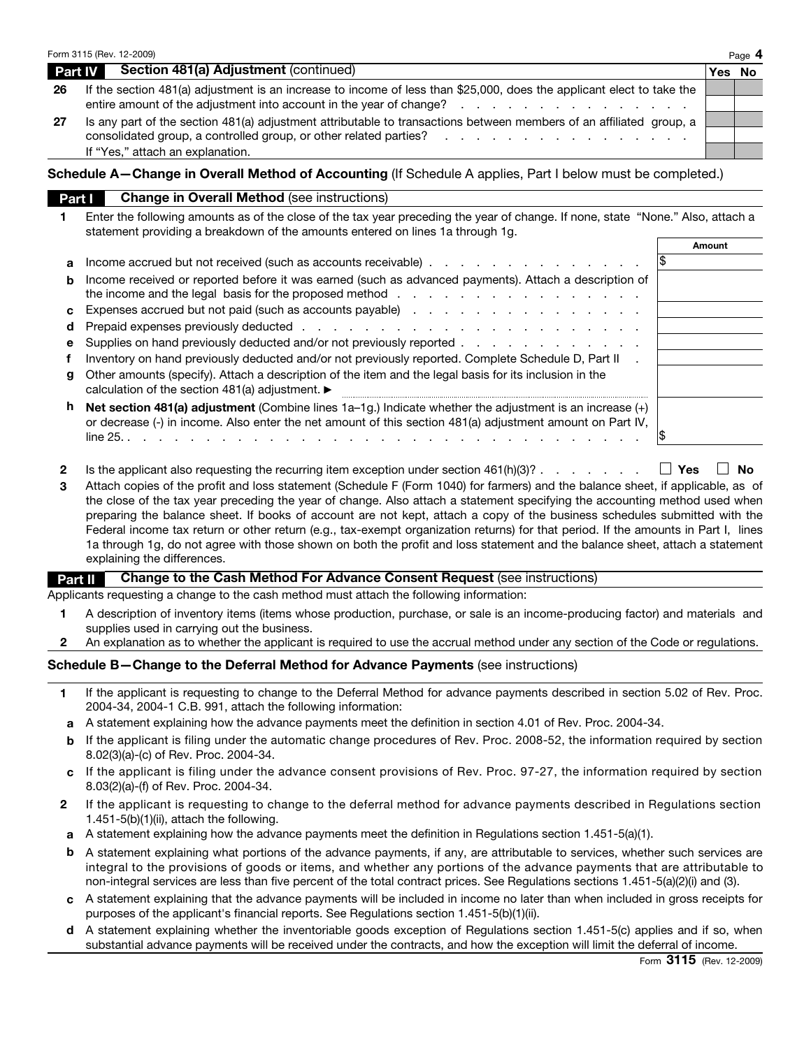|        | Form 3115 (Rev. 12-2009)                                                                                                                                |  | Page 4 |  |  |
|--------|---------------------------------------------------------------------------------------------------------------------------------------------------------|--|--------|--|--|
|        | Section 481(a) Adjustment (continued)<br>Part IV                                                                                                        |  | Yes No |  |  |
| 26     | If the section 481(a) adjustment is an increase to income of less than \$25,000, does the applicant elect to take the                                   |  |        |  |  |
| 27     | Is any part of the section 481(a) adjustment attributable to transactions between members of an affiliated group, a<br>If "Yes," attach an explanation. |  |        |  |  |
|        | Schedule A-Change in Overall Method of Accounting (If Schedule A applies, Part I below must be completed.)                                              |  |        |  |  |
| Part I | <b>Change in Overall Method (see instructions)</b>                                                                                                      |  |        |  |  |
|        | Enter the following amounts as of the close of the tax year preceding the year of change. If none, state "None." Also, attach a                         |  |        |  |  |

|   |                                                                                                                                                                                                                                    | Amount |
|---|------------------------------------------------------------------------------------------------------------------------------------------------------------------------------------------------------------------------------------|--------|
|   | a Income accrued but not received (such as accounts receivable)                                                                                                                                                                    |        |
|   | <b>b</b> Income received or reported before it was earned (such as advanced payments). Attach a description of                                                                                                                     |        |
|   |                                                                                                                                                                                                                                    |        |
|   |                                                                                                                                                                                                                                    |        |
|   | e Supplies on hand previously deducted and/or not previously reported                                                                                                                                                              |        |
| f | Inventory on hand previously deducted and/or not previously reported. Complete Schedule D, Part II                                                                                                                                 |        |
|   | g Other amounts (specify). Attach a description of the item and the legal basis for its inclusion in the<br>calculation of the section 481(a) adjustment. $\blacktriangleright$                                                    |        |
|   | <b>h</b> Net section 481(a) adjustment (Combine lines $1a-1g$ .) Indicate whether the adjustment is an increase $(+)$<br>or decrease (-) in income. Also enter the net amount of this section 481(a) adjustment amount on Part IV, |        |
|   |                                                                                                                                                                                                                                    |        |

**2** Is the applicant also requesting the recurring item exception under section 461(h)(3)? . . . . . .  $\Box$  **Yes**  $\Box$  **No** 

statement providing a breakdown of the amounts entered on lines 1a through 1g.

**3** Attach copies of the profit and loss statement (Schedule F (Form 1040) for farmers) and the balance sheet, if applicable, as of the close of the tax year preceding the year of change. Also attach a statement specifying the accounting method used when preparing the balance sheet. If books of account are not kept, attach a copy of the business schedules submitted with the Federal income tax return or other return (e.g., tax-exempt organization returns) for that period. If the amounts in Part I, lines 1a through 1g, do not agree with those shown on both the profit and loss statement and the balance sheet, attach a statement explaining the differences.

## **Part II** Change to the Cash Method For Advance Consent Request (see instructions)

Applicants requesting a change to the cash method must attach the following information:

- **1** A description of inventory items (items whose production, purchase, or sale is an income-producing factor) and materials and supplies used in carrying out the business.
- **2** An explanation as to whether the applicant is required to use the accrual method under any section of the Code or regulations.

## Schedule B—Change to the Deferral Method for Advance Payments (see instructions)

- **1** If the applicant is requesting to change to the Deferral Method for advance payments described in section 5.02 of Rev. Proc. 2004-34, 2004-1 C.B. 991, attach the following information:
- **a** A statement explaining how the advance payments meet the definition in section 4.01 of Rev. Proc. 2004-34.
- **b** If the applicant is filing under the automatic change procedures of Rev. Proc. 2008-52, the information required by section 8.02(3)(a)-(c) of Rev. Proc. 2004-34.
- **c** If the applicant is filing under the advance consent provisions of Rev. Proc. 97-27, the information required by section 8.03(2)(a)-(f) of Rev. Proc. 2004-34.
- **2** If the applicant is requesting to change to the deferral method for advance payments described in Regulations section 1.451-5(b)(1)(ii), attach the following.
- **a** A statement explaining how the advance payments meet the definition in Regulations section 1.451-5(a)(1).
- **b** A statement explaining what portions of the advance payments, if any, are attributable to services, whether such services are integral to the provisions of goods or items, and whether any portions of the advance payments that are attributable to non-integral services are less than five percent of the total contract prices. See Regulations sections 1.451-5(a)(2)(i) and (3).
- **c** A statement explaining that the advance payments will be included in income no later than when included in gross receipts for purposes of the applicant's financial reports. See Regulations section 1.451-5(b)(1)(ii).
- d A statement explaining whether the inventoriable goods exception of Regulations section 1.451-5(c) applies and if so, when substantial advance payments will be received under the contracts, and how the exception will limit the deferral of income.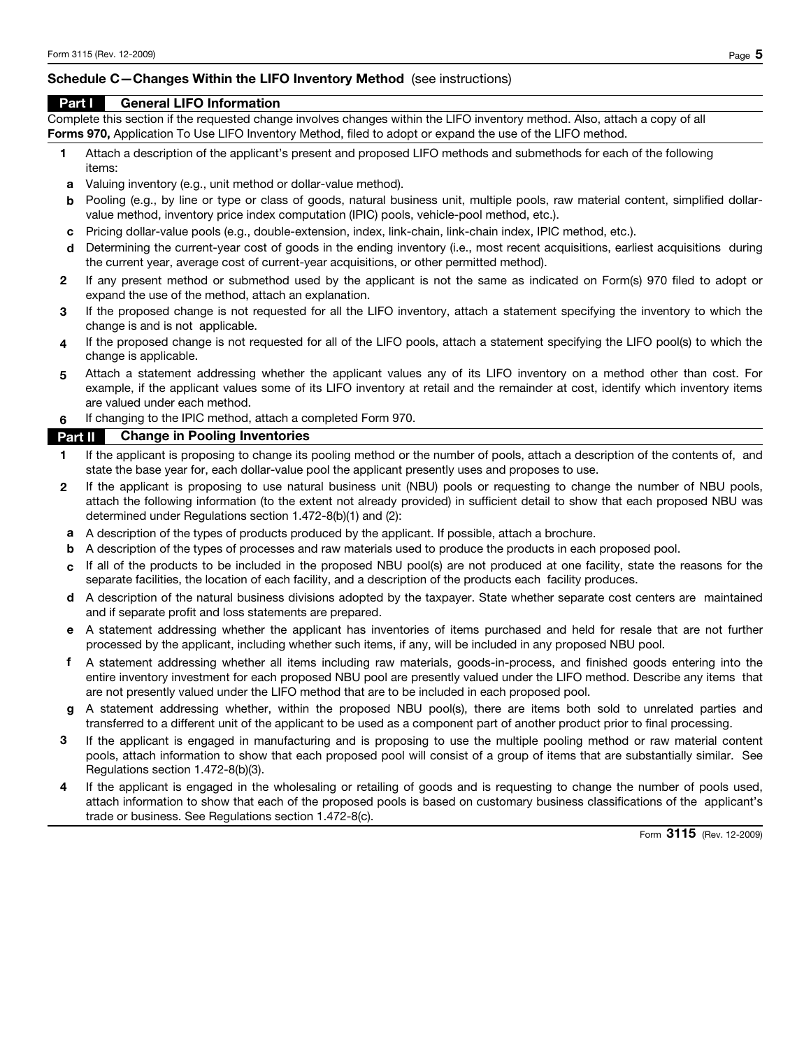# **Schedule C—Changes Within the LIFO Inventory Method** (see instructions)

## **Part I** General LIFO Information

Complete this section if the requested change involves changes within the LIFO inventory method. Also, attach a copy of all **Forms 970,** Application To Use LIFO Inventory Method, filed to adopt or expand the use of the LIFO method.

- **1** Attach a description of the applicant's present and proposed LIFO methods and submethods for each of the following items:
- **a** Valuing inventory (e.g., unit method or dollar-value method).
- **b** Pooling (e.g., by line or type or class of goods, natural business unit, multiple pools, raw material content, simplified dollarvalue method, inventory price index computation (IPIC) pools, vehicle-pool method, etc.).
- **c** Pricing dollar-value pools (e.g., double-extension, index, link-chain, link-chain index, IPIC method, etc.).
- **d** Determining the current-year cost of goods in the ending inventory (i.e., most recent acquisitions, earliest acquisitions during the current year, average cost of current-year acquisitions, or other permitted method).
- **2** If any present method or submethod used by the applicant is not the same as indicated on Form(s) 970 filed to adopt or expand the use of the method, attach an explanation.
- **3** If the proposed change is not requested for all the LIFO inventory, attach a statement specifying the inventory to which the change is and is not applicable.
- **4** If the proposed change is not requested for all of the LIFO pools, attach a statement specifying the LIFO pool(s) to which the change is applicable.
- **5** Attach a statement addressing whether the applicant values any of its LIFO inventory on a method other than cost. For example, if the applicant values some of its LIFO inventory at retail and the remainder at cost, identify which inventory items are valued under each method.
- **6** If changing to the IPIC method, attach a completed Form 970.

## **Part II Change in Pooling Inventories**

- **1** If the applicant is proposing to change its pooling method or the number of pools, attach a description of the contents of, and state the base year for, each dollar-value pool the applicant presently uses and proposes to use.
- **2** If the applicant is proposing to use natural business unit (NBU) pools or requesting to change the number of NBU pools, attach the following information (to the extent not already provided) in sufficient detail to show that each proposed NBU was determined under Regulations section 1.472-8(b)(1) and (2):
- **a** A description of the types of products produced by the applicant. If possible, attach a brochure.
- **b** A description of the types of processes and raw materials used to produce the products in each proposed pool.
- **c** If all of the products to be included in the proposed NBU pool(s) are not produced at one facility, state the reasons for the separate facilities, the location of each facility, and a description of the products each facility produces.
- **d** A description of the natural business divisions adopted by the taxpayer. State whether separate cost centers are maintained and if separate profit and loss statements are prepared.
- **e** A statement addressing whether the applicant has inventories of items purchased and held for resale that are not further processed by the applicant, including whether such items, if any, will be included in any proposed NBU pool.
- **f** A statement addressing whether all items including raw materials, goods-in-process, and finished goods entering into the entire inventory investment for each proposed NBU pool are presently valued under the LIFO method. Describe any items that are not presently valued under the LIFO method that are to be included in each proposed pool.
- **g** A statement addressing whether, within the proposed NBU pool(s), there are items both sold to unrelated parties and transferred to a different unit of the applicant to be used as a component part of another product prior to final processing.
- **3** If the applicant is engaged in manufacturing and is proposing to use the multiple pooling method or raw material content pools, attach information to show that each proposed pool will consist of a group of items that are substantially similar. See Regulations section 1.472-8(b)(3).
- **4** If the applicant is engaged in the wholesaling or retailing of goods and is requesting to change the number of pools used, attach information to show that each of the proposed pools is based on customary business classifications of the applicant's trade or business. See Regulations section 1.472-8(c).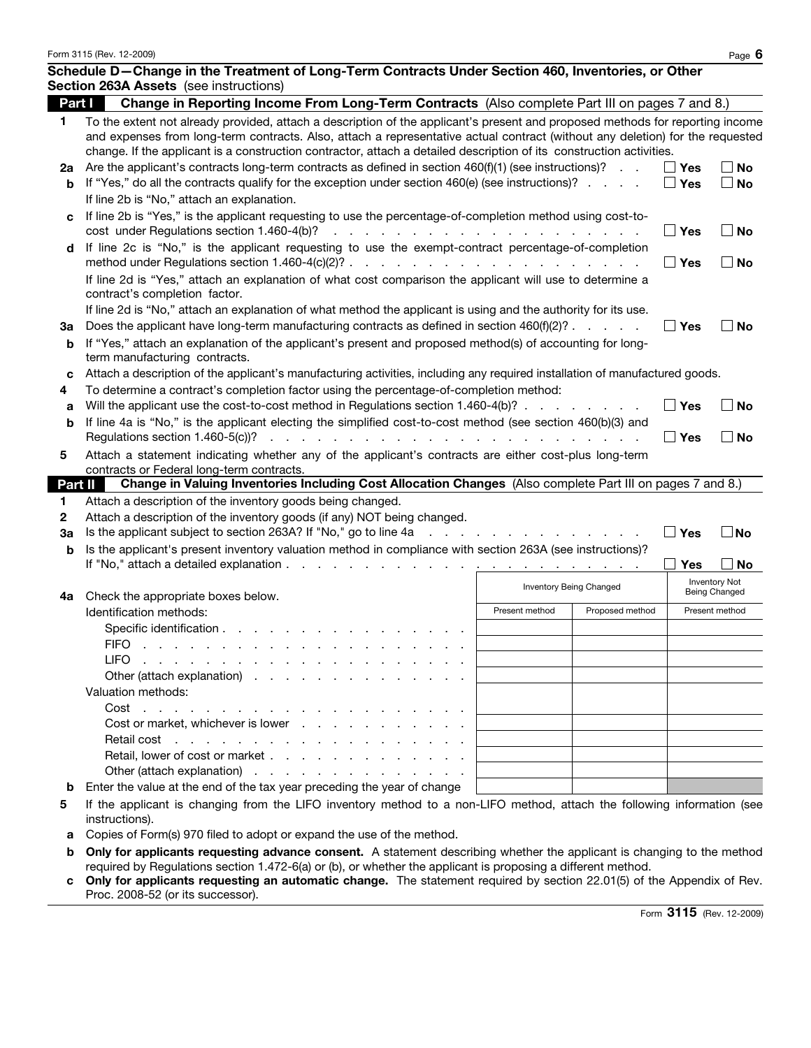# Schedule D-Change in the Treatment of Long-Term Contracts Under Section 460, Inventories, or Other Section 263A Assets (see instructions) Section 263A Assets (see instructions)

|         | <b>Section 263A Assets</b> (see instructions)                                                                                                                                                                                                                                                                                                                                          |                                       |                 |                          |                                       |
|---------|----------------------------------------------------------------------------------------------------------------------------------------------------------------------------------------------------------------------------------------------------------------------------------------------------------------------------------------------------------------------------------------|---------------------------------------|-----------------|--------------------------|---------------------------------------|
| Part I  | Change in Reporting Income From Long-Term Contracts (Also complete Part III on pages 7 and 8.)                                                                                                                                                                                                                                                                                         |                                       |                 |                          |                                       |
| 1       | To the extent not already provided, attach a description of the applicant's present and proposed methods for reporting income<br>and expenses from long-term contracts. Also, attach a representative actual contract (without any deletion) for the requested<br>change. If the applicant is a construction contractor, attach a detailed description of its construction activities. |                                       |                 |                          |                                       |
| 2a<br>b | Are the applicant's contracts long-term contracts as defined in section $460(f)(1)$ (see instructions)? $\therefore$<br>If "Yes," do all the contracts qualify for the exception under section 460(e) (see instructions)?                                                                                                                                                              |                                       |                 | $\Box$ Yes<br>$\Box$ Yes | $\Box$ No<br>$\Box$ No                |
| c       | If line 2b is "No," attach an explanation.<br>If line 2b is "Yes," is the applicant requesting to use the percentage-of-completion method using cost-to-<br>cost under Regulations section 1.460-4(b)?<br>the contract of the contract of the contract of the contract of the contract of                                                                                              |                                       |                 | $\Box$ Yes               | $\Box$ No                             |
| d       | If line 2c is "No," is the applicant requesting to use the exempt-contract percentage-of-completion                                                                                                                                                                                                                                                                                    |                                       |                 | $\Box$ Yes               | $\square$ No                          |
|         | If line 2d is "Yes," attach an explanation of what cost comparison the applicant will use to determine a<br>contract's completion factor.<br>If line 2d is "No," attach an explanation of what method the applicant is using and the authority for its use.                                                                                                                            |                                       |                 |                          |                                       |
| За<br>b | Does the applicant have long-term manufacturing contracts as defined in section $460(f)(2)$ ?<br>If "Yes," attach an explanation of the applicant's present and proposed method(s) of accounting for long-                                                                                                                                                                             |                                       |                 | $\square$ Yes            | $\Box$ No                             |
| C<br>4  | term manufacturing contracts.<br>Attach a description of the applicant's manufacturing activities, including any required installation of manufactured goods.<br>To determine a contract's completion factor using the percentage-of-completion method:                                                                                                                                |                                       |                 |                          |                                       |
| a<br>b  | Will the applicant use the cost-to-cost method in Regulations section 1.460-4(b)?<br>If line 4a is "No," is the applicant electing the simplified cost-to-cost method (see section 460(b)(3) and                                                                                                                                                                                       |                                       |                 | $\Box$ Yes               | $\Box$ No                             |
| 5       | والمتعاون والمتعاون والمتعاون والمتعاون والمتعاون والمتعاون والمتعاون والمتعاونة<br>Regulations section 1.460-5(c))?<br>Attach a statement indicating whether any of the applicant's contracts are either cost-plus long-term                                                                                                                                                          |                                       |                 | $\Box$ Yes               | $\Box$ No                             |
|         | contracts or Federal long-term contracts.                                                                                                                                                                                                                                                                                                                                              |                                       |                 |                          |                                       |
| Part II | Change in Valuing Inventories Including Cost Allocation Changes (Also complete Part III on pages 7 and 8.)                                                                                                                                                                                                                                                                             |                                       |                 |                          |                                       |
| 1       | Attach a description of the inventory goods being changed.                                                                                                                                                                                                                                                                                                                             |                                       |                 |                          |                                       |
| 2<br>За | Attach a description of the inventory goods (if any) NOT being changed.<br>Is the applicant subject to section 263A? If "No," go to line 4a                                                                                                                                                                                                                                            | and the second contract of the second |                 | $\Box$ Yes               | $\Box$ No                             |
| b       | Is the applicant's present inventory valuation method in compliance with section 263A (see instructions)?                                                                                                                                                                                                                                                                              |                                       |                 | Yes                      | No                                    |
| 4а      | Check the appropriate boxes below.                                                                                                                                                                                                                                                                                                                                                     | Inventory Being Changed               |                 |                          | <b>Inventory Not</b><br>Being Changed |
|         | Identification methods:<br>Specific identification<br>and the contract of the contract of the<br><b>FIFO</b><br>.<br><b>LIFO</b><br>the contract of the contract of the<br>$\sim$<br>and the company of the company<br>Other (attach explanation)<br>Valuation methods:<br>Cost or market, whichever is lower<br>Retail, lower of cost or market<br>Other (attach explanation)         | Present method                        | Proposed method |                          | Present method                        |
| b       | Enter the value at the end of the tax year preceding the year of change                                                                                                                                                                                                                                                                                                                |                                       |                 |                          |                                       |
| 5       | If the applicant is changing from the LIFO inventory method to a non-LIFO method, attach the following information (see                                                                                                                                                                                                                                                                |                                       |                 |                          |                                       |

instructions).

**a** Copies of Form(s) 970 filed to adopt or expand the use of the method.

- **b Only for applicants requesting advance consent.** A statement describing whether the applicant is changing to the method required by Regulations section 1.472-6(a) or (b), or whether the applicant is proposing a different method.
- **c** Only for applicants requesting an automatic change. The statement required by section 22.01(5) of the Appendix of Rev. Proc. 2008-52 (or its successor).

Form 3115 (Rev. 12-2009)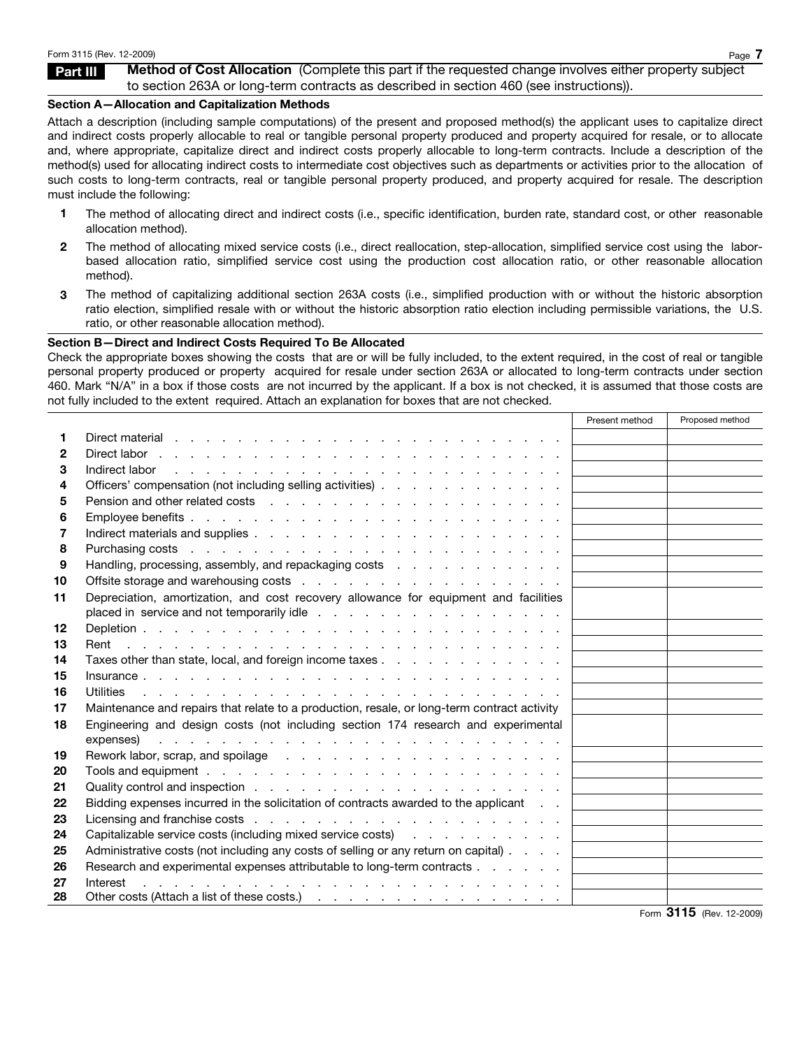#### Form 3115 (Rev. 12-2009) Page **7**

**Part III** Method of Cost Allocation (Complete this part if the requested change involves either property subject to section 263A or long-term contracts as described in section 460 (see instructions)).

## **Section A—Allocation and Capitalization Methods**

Attach a description (including sample computations) of the present and proposed method(s) the applicant uses to capitalize direct and indirect costs properly allocable to real or tangible personal property produced and property acquired for resale, or to allocate and, where appropriate, capitalize direct and indirect costs properly allocable to long-term contracts. Include a description of the method(s) used for allocating indirect costs to intermediate cost objectives such as departments or activities prior to the allocation of such costs to long-term contracts, real or tangible personal property produced, and property acquired for resale. The description must include the following:

- **1** The method of allocating direct and indirect costs (i.e., specific identification, burden rate, standard cost, or other reasonable allocation method).
- **2** The method of allocating mixed service costs (i.e., direct reallocation, step-allocation, simplified service cost using the laborbased allocation ratio, simplified service cost using the production cost allocation ratio, or other reasonable allocation method).
- **3** The method of capitalizing additional section 263A costs (i.e., simplified production with or without the historic absorption ratio election, simplified resale with or without the historic absorption ratio election including permissible variations, the U.S. ratio, or other reasonable allocation method).

## Section B—Direct and Indirect Costs Required To Be Allocated

Check the appropriate boxes showing the costs that are or will be fully included, to the extent required, in the cost of real or tangible personal property produced or property acquired for resale under section 263A or allocated to long-term contracts under section 460. Mark "N/A" in a box if those costs are not incurred by the applicant. If a box is not checked, it is assumed that those costs are not fully included to the extent required. Attach an explanation for boxes that are not checked.

|              |                                                                                                                                                                                                                                                                                                                                                   | Present method | Proposed method |
|--------------|---------------------------------------------------------------------------------------------------------------------------------------------------------------------------------------------------------------------------------------------------------------------------------------------------------------------------------------------------|----------------|-----------------|
| 1            | Direct material enterprise to contact the contact of the contact of the contact of the contact of the contact of the contact of the contact of the contact of the contact of the contact of the contact of the contact of the                                                                                                                     |                |                 |
| $\mathbf{2}$ |                                                                                                                                                                                                                                                                                                                                                   |                |                 |
| 3            |                                                                                                                                                                                                                                                                                                                                                   |                |                 |
| 4            |                                                                                                                                                                                                                                                                                                                                                   |                |                 |
| 5            |                                                                                                                                                                                                                                                                                                                                                   |                |                 |
| 6            |                                                                                                                                                                                                                                                                                                                                                   |                |                 |
| 7            |                                                                                                                                                                                                                                                                                                                                                   |                |                 |
| 8            |                                                                                                                                                                                                                                                                                                                                                   |                |                 |
| 9            | Handling, processing, assembly, and repackaging costs enterstand and an entertainment of the latest state of the transmission of the state of the state of the state of the state of the state of the state of the state of th                                                                                                                    |                |                 |
| 10           |                                                                                                                                                                                                                                                                                                                                                   |                |                 |
| 11           | Depreciation, amortization, and cost recovery allowance for equipment and facilities                                                                                                                                                                                                                                                              |                |                 |
|              |                                                                                                                                                                                                                                                                                                                                                   |                |                 |
| $12 \,$      |                                                                                                                                                                                                                                                                                                                                                   |                |                 |
| 13           |                                                                                                                                                                                                                                                                                                                                                   |                |                 |
| 14           |                                                                                                                                                                                                                                                                                                                                                   |                |                 |
| 15           |                                                                                                                                                                                                                                                                                                                                                   |                |                 |
| 16           | <b>Utilities</b>                                                                                                                                                                                                                                                                                                                                  |                |                 |
| 17           | Maintenance and repairs that relate to a production, resale, or long-term contract activity                                                                                                                                                                                                                                                       |                |                 |
| 18           | Engineering and design costs (not including section 174 research and experimental                                                                                                                                                                                                                                                                 |                |                 |
|              |                                                                                                                                                                                                                                                                                                                                                   |                |                 |
| 19           | Rework labor, scrap, and spoilage resolution and such a set of the set of the set of the set of the set of the                                                                                                                                                                                                                                    |                |                 |
| 20           |                                                                                                                                                                                                                                                                                                                                                   |                |                 |
| 21           |                                                                                                                                                                                                                                                                                                                                                   |                |                 |
| 22           | Bidding expenses incurred in the solicitation of contracts awarded to the applicant                                                                                                                                                                                                                                                               |                |                 |
| 23           | Licensing and franchise costs entering to the control of the control of the control of the control of the control of the control of the control of the control of the control of the control of the control of the control of                                                                                                                     |                |                 |
| 24           | Capitalizable service costs (including mixed service costs) (etc. by a service of the service of the service of                                                                                                                                                                                                                                   |                |                 |
| 25           | Administrative costs (not including any costs of selling or any return on capital)                                                                                                                                                                                                                                                                |                |                 |
| 26<br>27     | Research and experimental expenses attributable to long-term contracts    <br>Interest                                                                                                                                                                                                                                                            |                |                 |
| 28           | $\mathcal{L}$ , and the set of the set of the set of the set of the set of the set of the set of the set of the set of the set of the set of the set of the set of the set of the set of the set of the set of the set of the set<br>Other costs (Attach a list of these costs.) (and a set of the costs.) (b) (costs of the costs of the costs.) |                |                 |
|              |                                                                                                                                                                                                                                                                                                                                                   |                |                 |

Form 3115 (Rev. 12-2009)